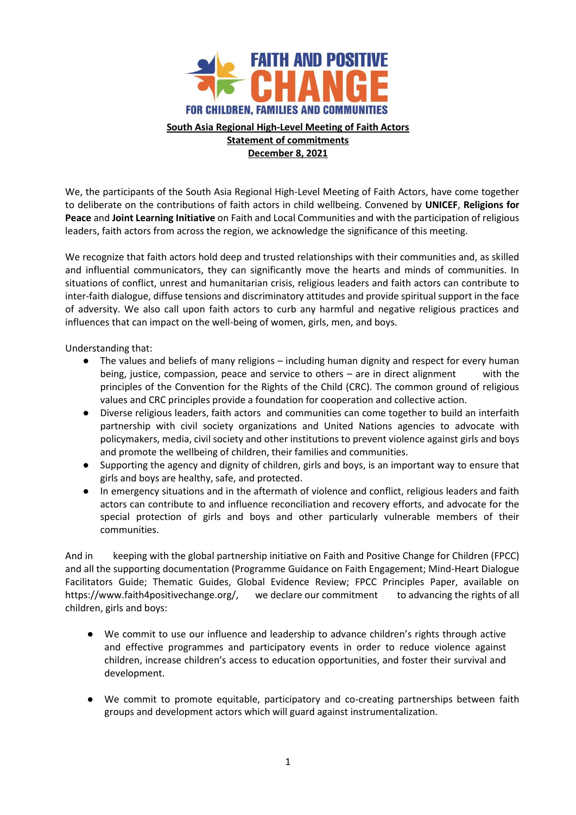

## **South Asia Regional High-Level Meeting of Faith Actors Statement of commitments December 8, 2021**

We, the participants of the South Asia Regional High-Level Meeting of Faith Actors, have come together to deliberate on the contributions of faith actors in child wellbeing. Convened by **UNICEF**, **Religions for Peace** and **Joint Learning Initiative** on Faith and Local Communities and with the participation of religious leaders, faith actors from across the region, we acknowledge the significance of this meeting.

We recognize that faith actors hold deep and trusted relationships with their communities and, as skilled and influential communicators, they can significantly move the hearts and minds of communities. In situations of conflict, unrest and humanitarian crisis, religious leaders and faith actors can contribute to inter-faith dialogue, diffuse tensions and discriminatory attitudes and provide spiritual support in the face of adversity. We also call upon faith actors to curb any harmful and negative religious practices and influences that can impact on the well-being of women, girls, men, and boys.

Understanding that:

- The values and beliefs of many religions including human dignity and respect for every human being, justice, compassion, peace and service to others – are in direct alignment with the principles of the Convention for the Rights of the Child (CRC). The common ground of religious values and CRC principles provide a foundation for cooperation and collective action.
- Diverse religious leaders, faith actors and communities can come together to build an interfaith partnership with civil society organizations and United Nations agencies to advocate with policymakers, media, civil society and other institutions to prevent violence against girls and boys and promote the wellbeing of children, their families and communities.
- Supporting the agency and dignity of children, girls and boys, is an important way to ensure that girls and boys are healthy, safe, and protected.
- In emergency situations and in the aftermath of violence and conflict, religious leaders and faith actors can contribute to and influence reconciliation and recovery efforts, and advocate for the special protection of girls and boys and other particularly vulnerable members of their communities.

And in keeping with the global partnership initiative on Faith and Positive Change for Children (FPCC) and all the supporting documentation (Programme Guidance on Faith Engagement; Mind-Heart Dialogue Facilitators Guide; Thematic Guides, Global Evidence Review; FPCC Principles Paper, available on https://www.faith4positivechange.org/, we declare our commitment to advancing the rights of all children, girls and boys:

- We commit to use our influence and leadership to advance children's rights through active and effective programmes and participatory events in order to reduce violence against children, increase children's access to education opportunities, and foster their survival and development.
- We commit to promote equitable, participatory and co-creating partnerships between faith groups and development actors which will guard against instrumentalization.